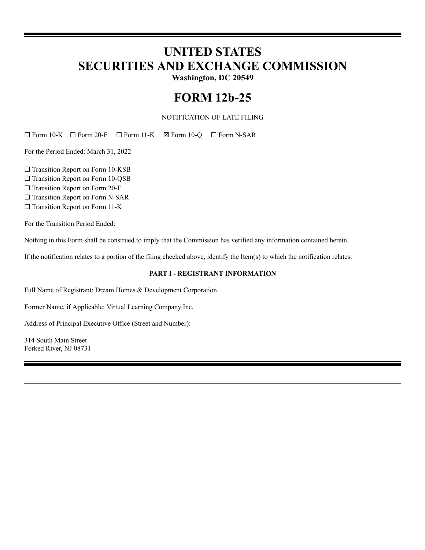# **UNITED STATES SECURITIES AND EXCHANGE COMMISSION**

**Washington, DC 20549**

## **FORM 12b-25**

NOTIFICATION OF LATE FILING

☐ Form 10-K ☐ Form 20-F ☐ Form 11-K ☒ Form 10-Q ☐ Form N-SAR

For the Period Ended: March 31, 2022

□ Transition Report on Form 10-KSB

□ Transition Report on Form 10-QSB

☐ Transition Report on Form 20-F

□ Transition Report on Form N-SAR

□ Transition Report on Form 11-K

For the Transition Period Ended:

Nothing in this Form shall be construed to imply that the Commission has verified any information contained herein.

If the notification relates to a portion of the filing checked above, identify the Item(s) to which the notification relates:

#### **PART I - REGISTRANT INFORMATION**

Full Name of Registrant: Dream Homes & Development Corporation.

Former Name, if Applicable: Virtual Learning Company Inc.

Address of Principal Executive Office (Street and Number):

314 South Main Street Forked River, NJ 08731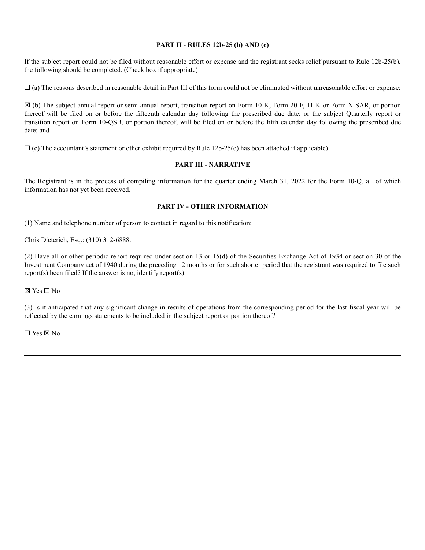#### **PART II - RULES 12b-25 (b) AND (c)**

If the subject report could not be filed without reasonable effort or expense and the registrant seeks relief pursuant to Rule 12b-25(b), the following should be completed. (Check box if appropriate)

 $\Box$  (a) The reasons described in reasonable detail in Part III of this form could not be eliminated without unreasonable effort or expense;

☒ (b) The subject annual report or semi-annual report, transition report on Form 10-K, Form 20-F, 11-K or Form N-SAR, or portion thereof will be filed on or before the fifteenth calendar day following the prescribed due date; or the subject Quarterly report or transition report on Form 10-QSB, or portion thereof, will be filed on or before the fifth calendar day following the prescribed due date; and

 $\Box$  (c) The accountant's statement or other exhibit required by Rule 12b-25(c) has been attached if applicable)

### **PART III - NARRATIVE**

The Registrant is in the process of compiling information for the quarter ending March 31, 2022 for the Form 10-Q, all of which information has not yet been received.

#### **PART IV - OTHER INFORMATION**

(1) Name and telephone number of person to contact in regard to this notification:

Chris Dieterich, Esq.: (310) 312-6888.

(2) Have all or other periodic report required under section 13 or 15(d) of the Securities Exchange Act of 1934 or section 30 of the Investment Company act of 1940 during the preceding 12 months or for such shorter period that the registrant was required to file such report(s) been filed? If the answer is no, identify report(s).

☒ Yes ☐ No

(3) Is it anticipated that any significant change in results of operations from the corresponding period for the last fiscal year will be reflected by the earnings statements to be included in the subject report or portion thereof?

☐ Yes ☒ No